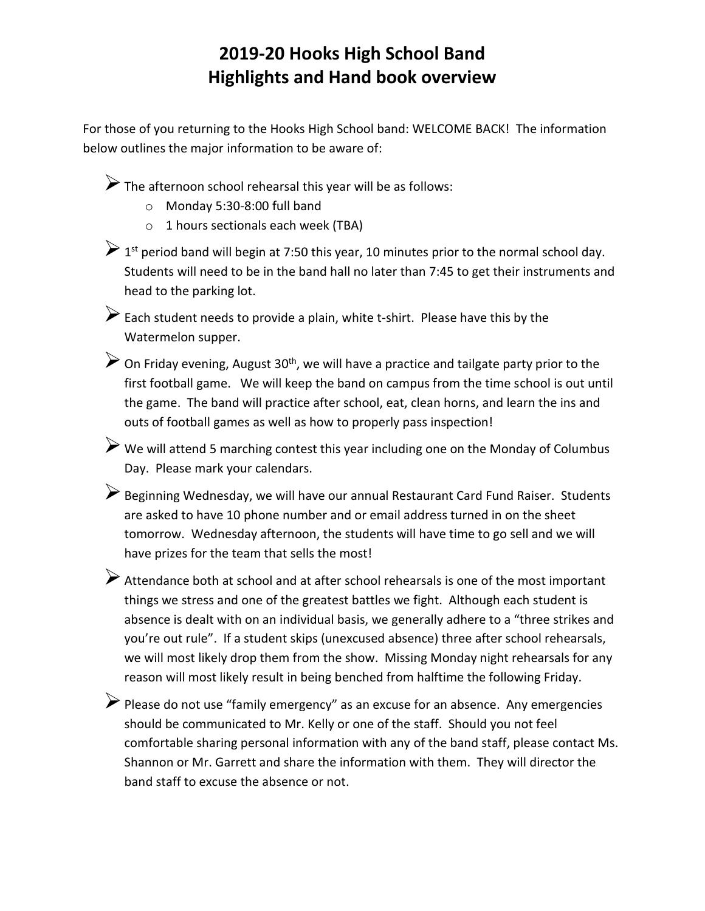## **2019-20 Hooks High School Band Highlights and Hand book overview**

For those of you returning to the Hooks High School band: WELCOME BACK! The information below outlines the major information to be aware of:

 $\triangleright$  The afternoon school rehearsal this year will be as follows:

- o Monday 5:30-8:00 full band
- o 1 hours sectionals each week (TBA)

> 1<sup>st</sup> period band will begin at 7:50 this year, 10 minutes prior to the normal school day. Students will need to be in the band hall no later than 7:45 to get their instruments and head to the parking lot.

 $\triangleright$  Each student needs to provide a plain, white t-shirt. Please have this by the Watermelon supper.

 $\triangleright$  On Friday evening, August 30<sup>th</sup>, we will have a practice and tailgate party prior to the first football game. We will keep the band on campus from the time school is out until the game. The band will practice after school, eat, clean horns, and learn the ins and outs of football games as well as how to properly pass inspection!

 We will attend 5 marching contest this year including one on the Monday of Columbus Day. Please mark your calendars.

Beginning Wednesday, we will have our annual Restaurant Card Fund Raiser. Students are asked to have 10 phone number and or email address turned in on the sheet tomorrow. Wednesday afternoon, the students will have time to go sell and we will have prizes for the team that sells the most!

Attendance both at school and at after school rehearsals is one of the most important things we stress and one of the greatest battles we fight. Although each student is absence is dealt with on an individual basis, we generally adhere to a "three strikes and you're out rule". If a student skips (unexcused absence) three after school rehearsals, we will most likely drop them from the show. Missing Monday night rehearsals for any reason will most likely result in being benched from halftime the following Friday.

Please do not use "family emergency" as an excuse for an absence. Any emergencies should be communicated to Mr. Kelly or one of the staff. Should you not feel comfortable sharing personal information with any of the band staff, please contact Ms. Shannon or Mr. Garrett and share the information with them. They will director the band staff to excuse the absence or not.